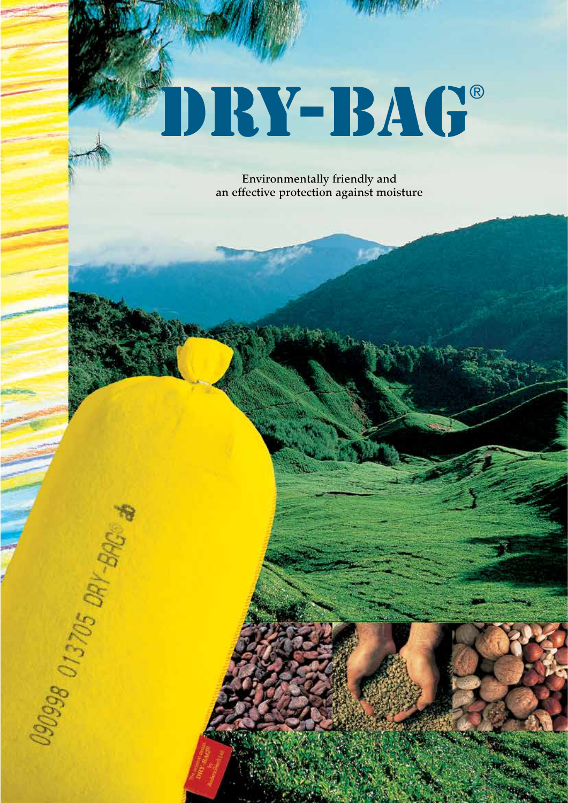# DRY-BAG®

Environmentally friendly and an effective protection against moisture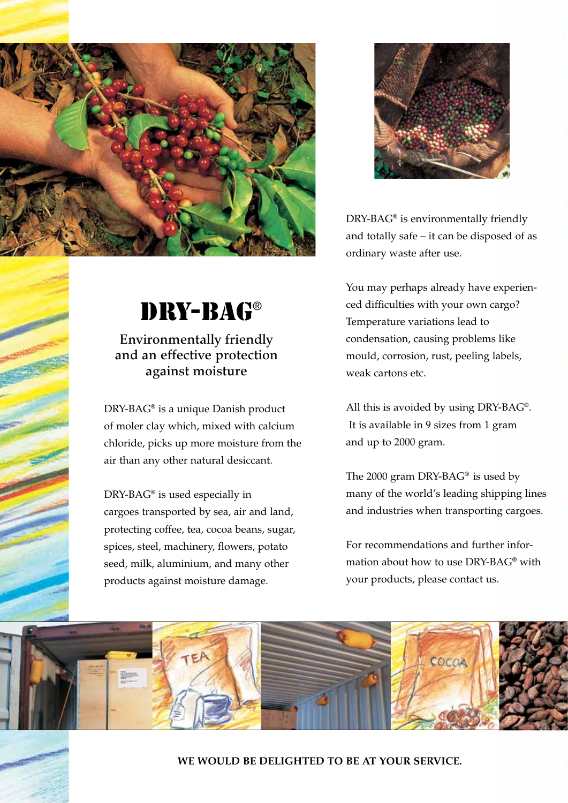



#### Environmentally friendly and an effective protection against moisture

DRY-BAG® is a unique Danish product of moler clay which, mixed with calcium chloride, picks up more moisture from the air than any other natural desiccant.

DRY-BAG® is used especially in cargoes transported by sea, air and land, protecting coffee, tea, cocoa beans, sugar, spices, steel, machinery, flowers, potato seed, milk, aluminium, and many other products against moisture damage.



DRY-BAG® is environmentally friendly and totally safe – it can be disposed of as ordinary waste after use.

You may perhaps already have experienced difficulties with your own cargo? Temperature variations lead to condensation, causing problems like mould, corrosion, rust, peeling labels, weak cartons etc.

All this is avoided by using DRY-BAG®. It is available in 9 sizes from 1 gram and up to 2000 gram.

The 2000 gram DRY-BAG® is used by many of the world's leading shipping lines and industries when transporting cargoes.

For recommendations and further information about how to use DRY-BAG® with your products, please contact us.



**WE WOULD BE DELIGHTED TO BE AT YOUR SERVICE. WE WOULD BE DELIGHTED TO BE AT YOUR SERVICE.**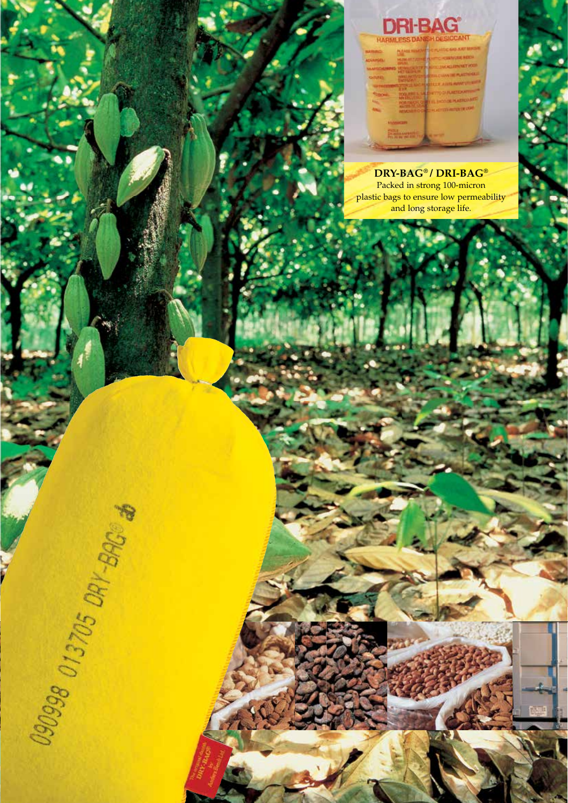## **DRI-BAG**

| <b>COMMERCIAL</b> |                                          |                                                                           |
|-------------------|------------------------------------------|---------------------------------------------------------------------------|
|                   |                                          |                                                                           |
|                   | <b>METER DELT</b>                        | <b>MATIONER</b>                                                           |
| OITUNE            | <b>NAME AND POST</b><br><b>TATING OF</b> | <b>PLASTINIAE III</b><br><b>SE WILL IT SEARS INC.</b><br><b>AISES AND</b> |
|                   |                                          | <b>SALE COLOR</b>                                                         |
|                   |                                          | <b>WE IS DESCRIPTION OF A STREET WITH</b>                                 |
|                   |                                          | <b>REPORTED AUTOMOTIVE</b>                                                |
|                   | <b>MANUFORM</b>                          |                                                                           |

**DRY-BAG**® **/ DRI-BAG**® Packed in strong 100-micron plastic bags to ensure low permeability and long storage life.



**WE WOULD BE DELIGHTED TO BE AT YOUR SERVICE. WE WOULD BE DELIGHTED TO BE AT YOUR SERVICE.**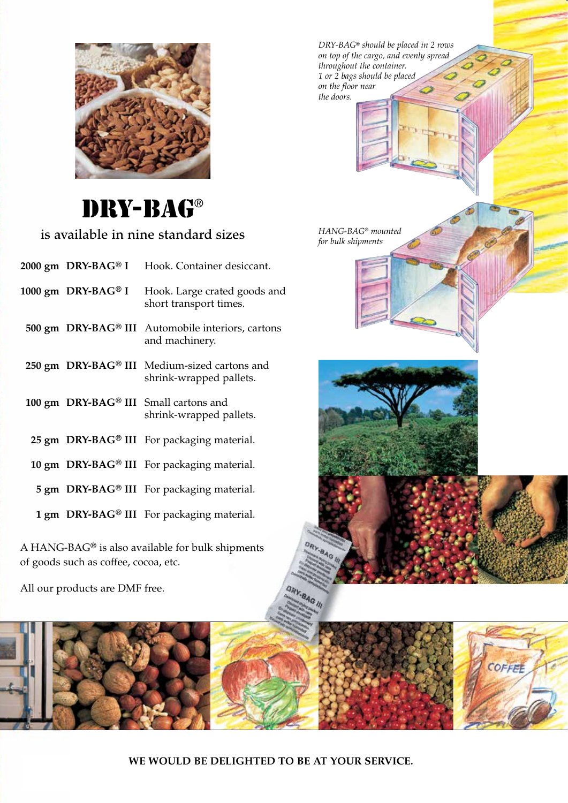

## DRY-BAG®

is available in nine standard sizes

 **1000 gm DRY-BAG**® **I** Hook. Large crated goods and short transport times.

 **500 gm DRY-BAG**® **III** Automobile interiors, cartons and machinery.

- **250 gm DRY-BAG**® **III** Medium-sized cartons and shrink-wrapped pallets.
- **100 gm DRY-BAG**® **III** Small cartons and shrink-wrapped pallets.
	- **25 gm DRY-BAG**® **III** For packaging material.
	- **10 gm DRY-BAG**® **III** For packaging material.
	- **5 gm DRY-BAG**® **III** For packaging material.
	- **1 gm DRY-BAG**® **III** For packaging material.

A HANG-BAG® is also available for bulk shipments of goods such as coffee, cocoa, etc.

All our products are DMF free.

*DRY-BAG*® *should be placed in 2 rows on top of the cargo, and evenly spread throughout the container. 1 or 2 bags should be placed on the floor near the doors.*

*HANG-BAG*® *mounted for bulk shipments*



**BAG III** 

**WE WOULD BE DELIGHTED TO BE AT YOUR SERVICE. WE WOULD BE DELIGHTED TO BE AT YOUR SERVICE.**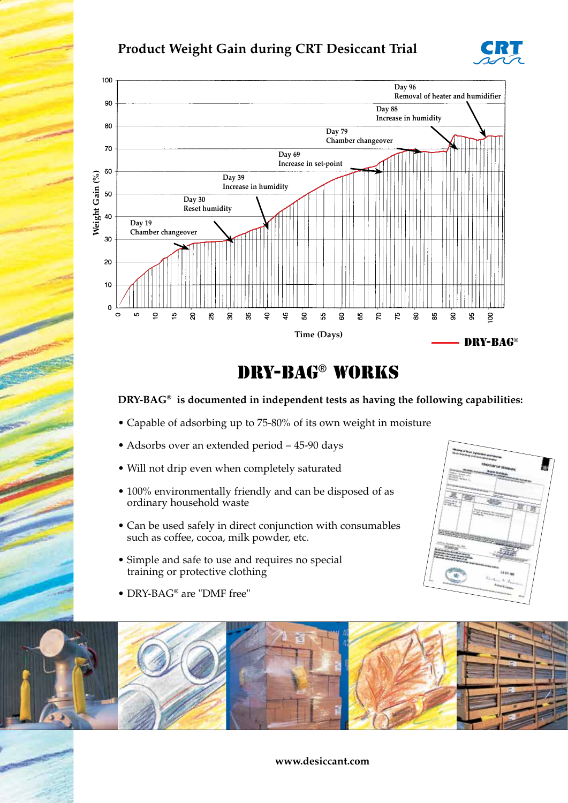#### **Product Weight Gain during CRT Desiccant Trial**





### DRY-BAG® WORKS

#### **DRY-BAG**® **is documented in independent tests as having the following capabilities:**

- Capable of adsorbing up to 75-80% of its own weight in moisture
- Adsorbs over an extended period 45-90 days
- Will not drip even when completely saturated
- 100% environmentally friendly and can be disposed of as ordinary household waste
- Can be used safely in direct conjunction with consumables such as coffee, cocoa, milk powder, etc.
- Simple and safe to use and requires no special training or protective clothing

• DRY-BAG® are "DMF free"